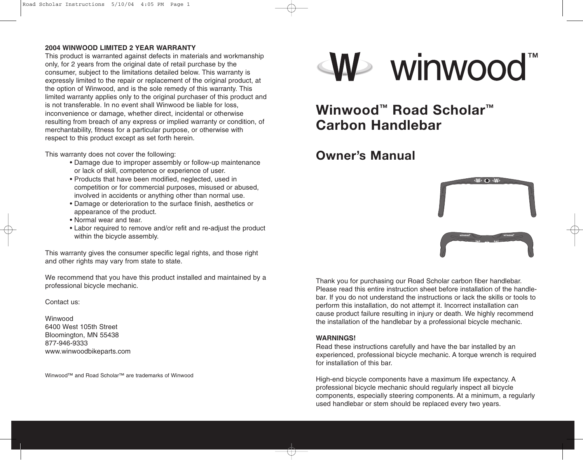### **2004 WINWOOD LIMITED 2 YEAR WARRANTY**

This product is warranted against defects in materials and workmanship only, for 2 years from the original date of retail purchase by the consumer, subject to the limitations detailed below. This warranty is expressly limited to the repair or replacement of the original product, at the option of Winwood, and is the sole remedy of this warranty. This limited warranty applies only to the original purchaser of this product and is not transferable. In no event shall Winwood be liable for loss, inconvenience or damage, whether direct, incidental or otherwise resulting from breach of any express or implied warranty or condition, of merchantability, fitness for a particular purpose, or otherwise with respect to this product except as set forth herein.

This warranty does not cover the following:

- Damage due to improper assembly or follow-up maintenance or lack of skill, competence or experience of user.
- Products that have been modified, neglected, used in competition or for commercial purposes, misused or abused, involved in accidents or anything other than normal use.
- Damage or deterioration to the surface finish, aesthetics or appearance of the product.
- Normal wear and tear.
- Labor required to remove and/or refit and re-adjust the product within the bicycle assembly.

This warranty gives the consumer specific legal rights, and those right and other rights may vary from state to state.

We recommend that you have this product installed and maintained by a professional bicycle mechanic.

### Contact us:

Winwood 6400 West 105th Street Bloomington, MN 55438 877-946-9333 www.winwoodbikeparts.com

Winwood™ and Road Scholar™ are trademarks of Winwood



# **Winwood™ Road Scholar™ Carbon Handlebar**

## **Owner's Manual**



Thank you for purchasing our Road Scholar carbon fiber handlebar. Please read this entire instruction sheet before installation of the handlebar. If you do not understand the instructions or lack the skills or tools to perform this installation, do not attempt it. Incorrect installation can cause product failure resulting in injury or death. We highly recommend the installation of the handlebar by a professional bicycle mechanic.

### **WARNINGS!**

Read these instructions carefully and have the bar installed by an experienced, professional bicycle mechanic. A torque wrench is required for installation of this bar.

High-end bicycle components have a maximum life expectancy. A professional bicycle mechanic should regularly inspect all bicycle components, especially steering components. At a minimum, a regularly used handlebar or stem should be replaced every two years.